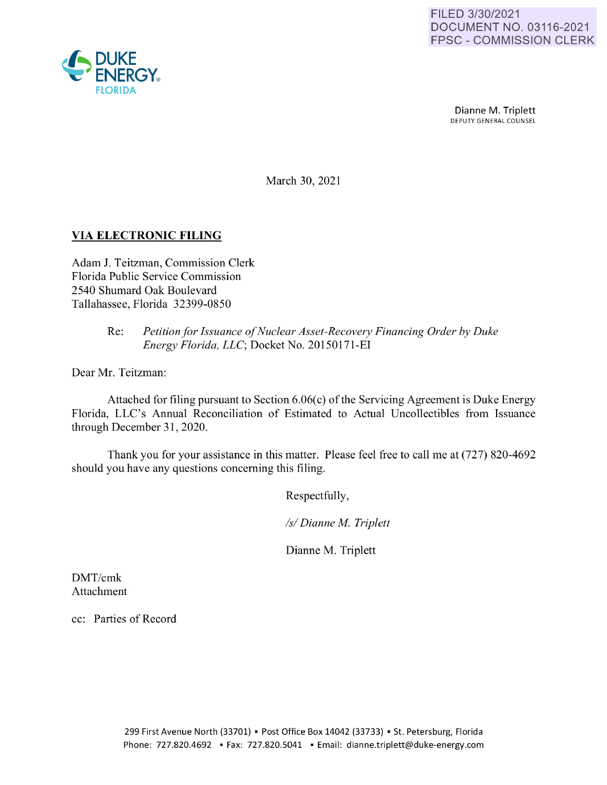

Dianne M. Triplett<br>DEPUTY GENERAL COUNSEL

March 30, 2021

## **VIA ELECTRONIC FILING**

Adam J. Teitzman, Commission Clerk Florida Public Service Commission 2540 Shumard Oak Boulevard Tallahassee, Florida 32399-0850

## Re: *Petition for Issuance of Nuclear Asset-Recovery Financing Order by Duke Energy Florida, LLC;* Docket No. 20150171-EI

Dear Mr. Teitzman:

Attached for filing pursuant to Section 6.06(c) of the Servicing Agreement is Duke Energy Florida, LLC's Annual Reconciliation of Estimated to Actual Uncollectibles from Issuance through December 31, 2020.

Thank you for your assistance in this matter. Please feel free to call me at (727) 820-4692 should you have any questions concerning this filing.

Respectfully,

*Isl Dianne M Triplett* 

Dianne M. Triplett

DMT/cmk Attachment

cc: Parties of Record

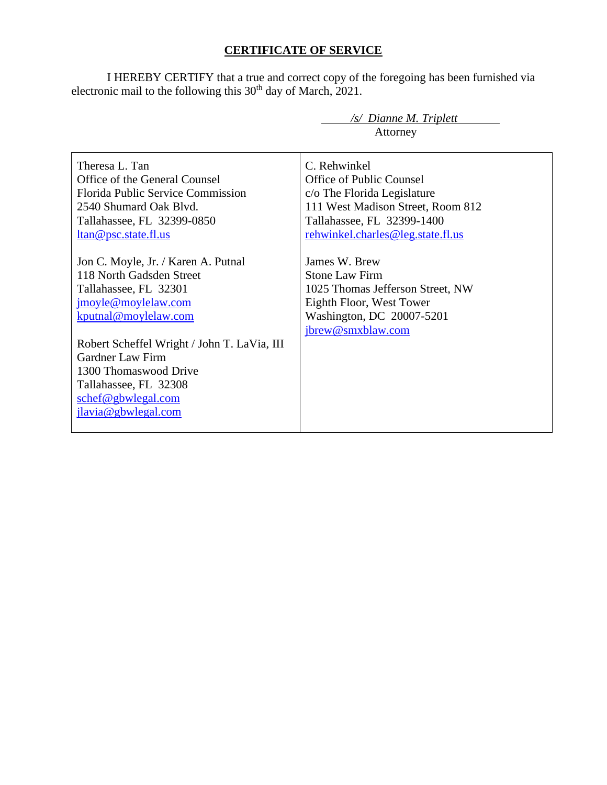## **CERTIFICATE OF SERVICE**

I HEREBY CERTIFY that a true and correct copy of the foregoing has been furnished via electronic mail to the following this  $30<sup>th</sup>$  day of March, 2021.

|                                             | /s/ Dianne M. Triplett            |  |  |  |  |  |  |
|---------------------------------------------|-----------------------------------|--|--|--|--|--|--|
|                                             | Attorney                          |  |  |  |  |  |  |
|                                             |                                   |  |  |  |  |  |  |
| Theresa L. Tan                              | C. Rehwinkel                      |  |  |  |  |  |  |
| Office of the General Counsel               | Office of Public Counsel          |  |  |  |  |  |  |
| <b>Florida Public Service Commission</b>    | c/o The Florida Legislature       |  |  |  |  |  |  |
| 2540 Shumard Oak Blyd.                      | 111 West Madison Street, Room 812 |  |  |  |  |  |  |
| Tallahassee, FL 32399-0850                  | Tallahassee, FL 32399-1400        |  |  |  |  |  |  |
| <u>ltan@psc.state.fl.us</u>                 | rehwinkel.charles@leg.state.fl.us |  |  |  |  |  |  |
|                                             |                                   |  |  |  |  |  |  |
| Jon C. Moyle, Jr. / Karen A. Putnal         | James W. Brew                     |  |  |  |  |  |  |
| 118 North Gadsden Street                    | <b>Stone Law Firm</b>             |  |  |  |  |  |  |
| Tallahassee, FL 32301                       | 1025 Thomas Jefferson Street, NW  |  |  |  |  |  |  |
| jmoyle@moylelaw.com                         | Eighth Floor, West Tower          |  |  |  |  |  |  |
| kputnal@moylelaw.com                        | Washington, DC 20007-5201         |  |  |  |  |  |  |
|                                             | jbrew@smxblaw.com                 |  |  |  |  |  |  |
| Robert Scheffel Wright / John T. LaVia, III |                                   |  |  |  |  |  |  |
| <b>Gardner Law Firm</b>                     |                                   |  |  |  |  |  |  |
| 1300 Thomaswood Drive                       |                                   |  |  |  |  |  |  |
| Tallahassee, FL 32308                       |                                   |  |  |  |  |  |  |
| schef@gbwlegal.com                          |                                   |  |  |  |  |  |  |
| jlavia@gbwlegal.com                         |                                   |  |  |  |  |  |  |
|                                             |                                   |  |  |  |  |  |  |